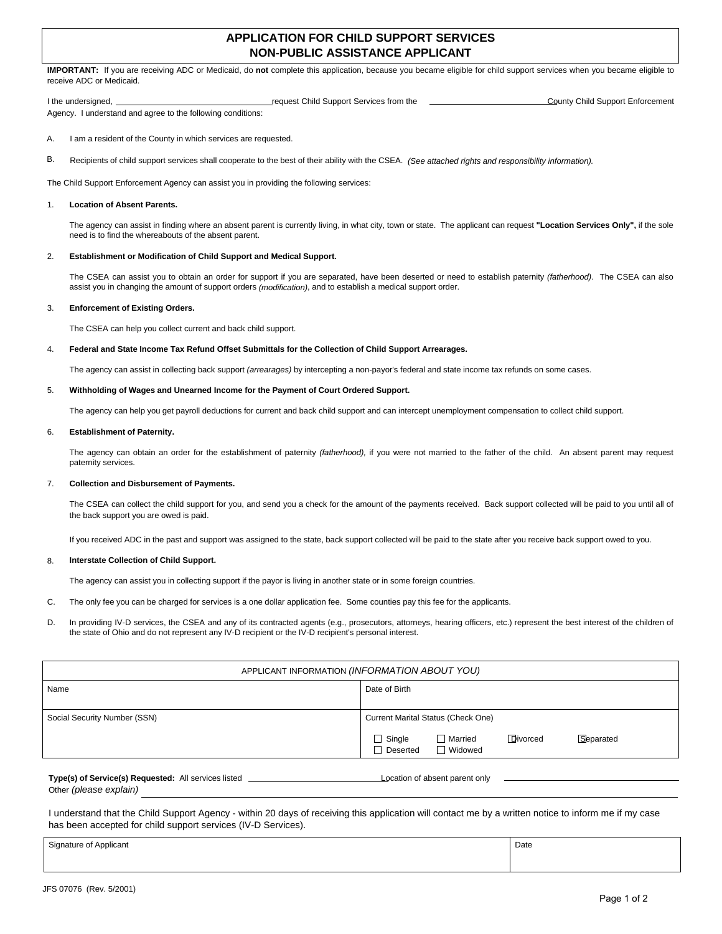# **APPLICATION FOR CHILD SUPPORT SERVICES NON-PUBLIC ASSISTANCE APPLICANT**

**IMPORTANT:** If you are receiving ADC or Medicaid, do **not** complete this application, because you became eligible for child support services when you became eligible to receive ADC or Medicaid.

I the undersigned, <u>come and county Child Support Services from the County Child Support Enforcement</u> Agency. I understand and agree to the following conditions:

I am a resident of the County in which services are requested. A.

Recipients of child support services shall cooperate to the best of their ability with the CSEA. (See attached rights and responsibility information). B.

The Child Support Enforcement Agency can assist you in providing the following services:

#### **Location of Absent Parents.** 1.

The agency can assist in finding where an absent parent is currently living, in what city, town or state. The applicant can request **"Location Services Only",** if the sole need is to find the whereabouts of the absent parent.

#### **Establishment or Modification of Child Support and Medical Support.** 2.

The CSEA can assist you to obtain an order for support if you are separated, have been deserted or need to establish paternity (fatherhood). The CSEA can also assist you in changing the amount of support orders (modification), and to establish a medical support order.

#### **Enforcement of Existing Orders.** 3.

The CSEA can help you collect current and back child support.

# **Federal and State Income Tax Refund Offset Submittals for the Collection of Child Support Arrearages.** 4.

The agency can assist in collecting back support (arrearages) by intercepting a non-payor's federal and state income tax refunds on some cases.

#### **Withholding of Wages and Unearned Income for the Payment of Court Ordered Support.** 5.

The agency can help you get payroll deductions for current and back child support and can intercept unemployment compensation to collect child support.

### **Establishment of Paternity.** 6.

The agency can obtain an order for the establishment of paternity (fatherhood), if you were not married to the father of the child. An absent parent may request paternity services.

#### **Collection and Disbursement of Payments.** 7.

The CSEA can collect the child support for you, and send you a check for the amount of the payments received. Back support collected will be paid to you until all of the back support you are owed is paid.

If you received ADC in the past and support was assigned to the state, back support collected will be paid to the state after you receive back support owed to you.

## **Interstate Collection of Child Support.** 8.

The agency can assist you in collecting support if the payor is living in another state or in some foreign countries.

- The only fee you can be charged for services is a one dollar application fee. Some counties pay this fee for the applicants. C.
- In providing IV-D services, the CSEA and any of its contracted agents (e.g., prosecutors, attorneys, hearing officers, etc.) represent the best interest of the children of the state of Ohio and do not represent any IV-D recipient or the IV-D recipient's personal interest. D.

| APPLICANT INFORMATION (INFORMATION ABOUT YOU) |                                                                                        |  |  |  |  |  |
|-----------------------------------------------|----------------------------------------------------------------------------------------|--|--|--|--|--|
| Name                                          | Date of Birth                                                                          |  |  |  |  |  |
|                                               |                                                                                        |  |  |  |  |  |
| Social Security Number (SSN)                  | Current Marital Status (Check One)                                                     |  |  |  |  |  |
|                                               | Divorced<br>$\Box$ Single<br>Separated<br>Married<br>$\Box$ Deserted<br>$\Box$ Widowed |  |  |  |  |  |
|                                               |                                                                                        |  |  |  |  |  |

# **Type(s) of Service(s) Requested:** All services listed **Location of absent parent only Location of absent parent only** Other (please explain)

I understand that the Child Support Agency - within 20 days of receiving this application will contact me by a written notice to inform me if my case has been accepted for child support services (IV-D Services).

Signature of Applicant Date Control of Applicant Date Control of Applicant Date Control of Applicant Date Control of Applicant Date Control of Applicant Date Control of Applicant Date Control of Applicant Date Control of A